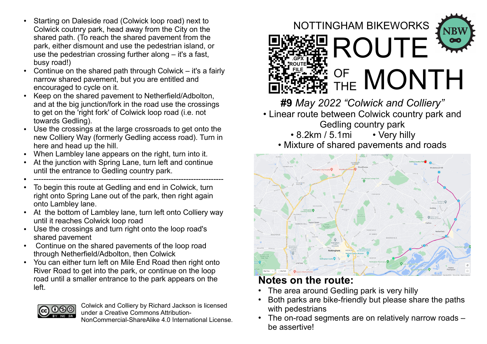- Starting on Daleside road (Colwick loop road) next to Colwick coutnry park, head away from the City on the shared path. (To reach the shared pavement from the park, either dismount and use the pedestrian island, or use the pedestrian crossing further along – it's a fast, busy road!)
- Continue on the shared path through Colwick  $-$  it's a fairly narrow shared pavement, but you are entitled and encouraged to cycle on it.
- Keep on the shared pavement to Netherfield/Adbolton, and at the big junction/fork in the road use the crossings to get on the 'right fork' of Colwick loop road (i.e. not towards Gedling).
- Use the crossings at the large crossroads to get onto the new Colliery Way (formerly Gedling access road). Turn in here and head up the hill.
- When Lambley lane appears on the right, turn into it.
- At the junction with Spring Lane, turn left and continue until the entrance to Gedling country park.
- ----------------------------------------------------------------------------
- To begin this route at Gedling and end in Colwick, turn right onto Spring Lane out of the park, then right again onto Lambley lane.
- At the bottom of Lambley lane, turn left onto Colliery way until it reaches Colwick loop road
- Use the crossings and turn right onto the loop road's shared pavement
- Continue on the shared pavements of the loop road through Netherfield/Adbolton, then Colwick
- You can either turn left on Mile End Road then right onto River Road to get into the park, or continue on the loop road until a smaller entrance to the park appears on the left.





**#9** *May 2022 "Colwick and Colliery"*

- Linear route between Colwick country park and Gedling country park
	- 8.2km / 5.1mi Very hilly
	- Mixture of shared pavements and roads



## **Notes on the route:**

- The area around Gedling park is very hilly
- Both parks are bike-friendly but please share the paths with pedestrians
- The on-road segments are on relatively narrow roads  $$ be assertive!